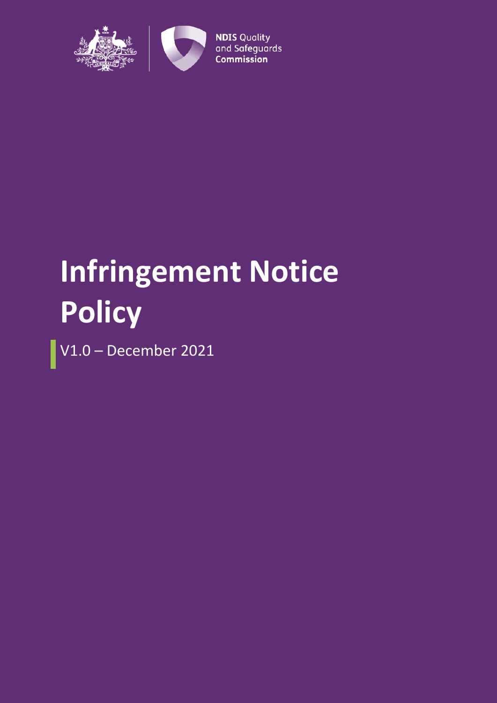

# **Infringement Notice Policy**

V1.0 – December 2021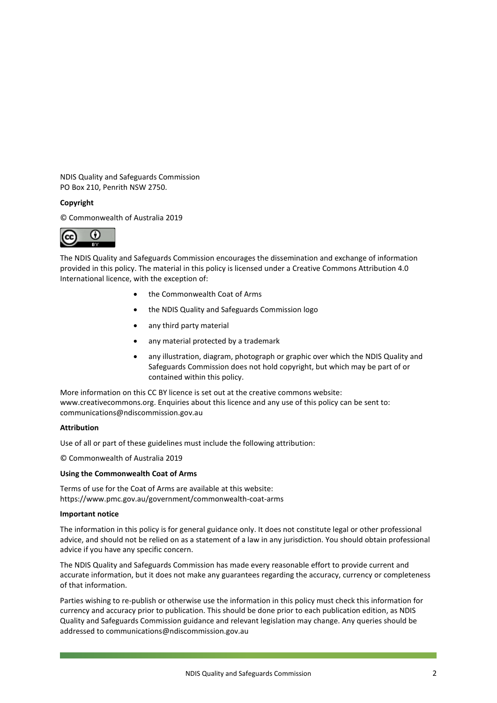NDIS Quality and Safeguards Commission PO Box 210, Penrith NSW 2750.

#### **Copyright**

© Commonwealth of Australia 2019



The NDIS Quality and Safeguards Commission encourages the dissemination and exchange of information provided in this policy. The material in this policy is licensed under a Creative Commons Attribution 4.0 International licence, with the exception of:

- the Commonwealth Coat of Arms
- the NDIS Quality and Safeguards Commission logo
- any third party material
- any material protected by a trademark
- any illustration, diagram, photograph or graphic over which the NDIS Quality and Safeguards Commission does not hold copyright, but which may be part of or contained within this policy.

More information on this CC BY licence is set out at the creative commons website: www.creativecommons.org. Enquiries about this licence and any use of this policy can be sent to: communications@ndiscommission.gov.au

#### **Attribution**

Use of all or part of these guidelines must include the following attribution:

© Commonwealth of Australia 2019

#### **Using the Commonwealth Coat of Arms**

Terms of use for the Coat of Arms are available at this website: https://www.pmc.gov.au/government/commonwealth-coat-arms

#### **Important notice**

The information in this policy is for general guidance only. It does not constitute legal or other professional advice, and should not be relied on as a statement of a law in any jurisdiction. You should obtain professional advice if you have any specific concern.

The NDIS Quality and Safeguards Commission has made every reasonable effort to provide current and accurate information, but it does not make any guarantees regarding the accuracy, currency or completeness of that information.

Parties wishing to re-publish or otherwise use the information in this policy must check this information for currency and accuracy prior to publication. This should be done prior to each publication edition, as NDIS Quality and Safeguards Commission guidance and relevant legislation may change. Any queries should be addressed to communications@ndiscommission.gov.au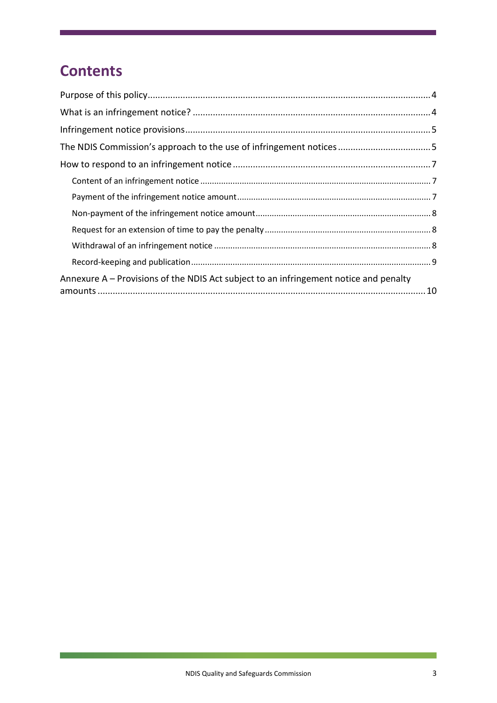# **Contents**

| Annexure A – Provisions of the NDIS Act subject to an infringement notice and penalty |  |
|---------------------------------------------------------------------------------------|--|

 $\overline{\phantom{0}}$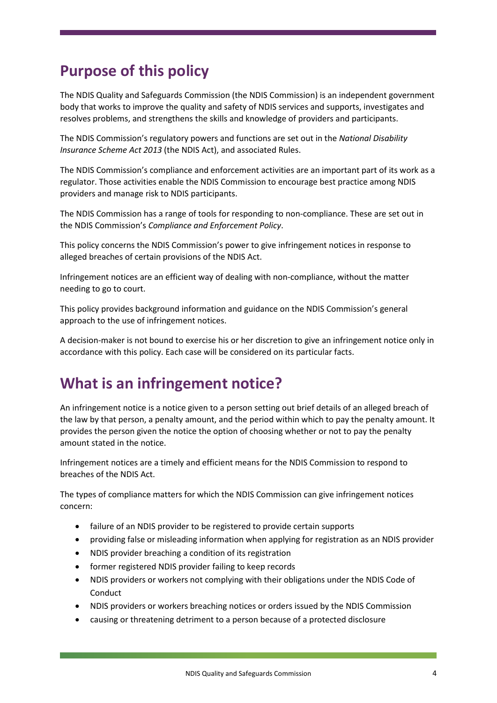# <span id="page-3-0"></span>**Purpose of this policy**

The NDIS Quality and Safeguards Commission (the NDIS Commission) is an independent government body that works to improve the quality and safety of NDIS services and supports, investigates and resolves problems, and strengthens the skills and knowledge of providers and participants.

The NDIS Commission's regulatory powers and functions are set out in the *National Disability Insurance Scheme Act 2013* (the NDIS Act), and associated Rules.

The NDIS Commission's compliance and enforcement activities are an important part of its work as a regulator. Those activities enable the NDIS Commission to encourage best practice among NDIS providers and manage risk to NDIS participants.

The NDIS Commission has a range of tools for responding to non-compliance. These are set out in the NDIS Commission's *Compliance and Enforcement Policy*.

This policy concerns the NDIS Commission's power to give infringement notices in response to alleged breaches of certain provisions of the NDIS Act.

Infringement notices are an efficient way of dealing with non-compliance, without the matter needing to go to court.

This policy provides background information and guidance on the NDIS Commission's general approach to the use of infringement notices.

A decision-maker is not bound to exercise his or her discretion to give an infringement notice only in accordance with this policy. Each case will be considered on its particular facts.

# <span id="page-3-1"></span>**What is an infringement notice?**

An infringement notice is a notice given to a person setting out brief details of an alleged breach of the law by that person, a penalty amount, and the period within which to pay the penalty amount. It provides the person given the notice the option of choosing whether or not to pay the penalty amount stated in the notice.

Infringement notices are a timely and efficient means for the NDIS Commission to respond to breaches of the NDIS Act.

The types of compliance matters for which the NDIS Commission can give infringement notices concern:

- failure of an NDIS provider to be registered to provide certain supports
- providing false or misleading information when applying for registration as an NDIS provider
- NDIS provider breaching a condition of its registration
- former registered NDIS provider failing to keep records
- NDIS providers or workers not complying with their obligations under the NDIS Code of Conduct
- NDIS providers or workers breaching notices or orders issued by the NDIS Commission
- causing or threatening detriment to a person because of a protected disclosure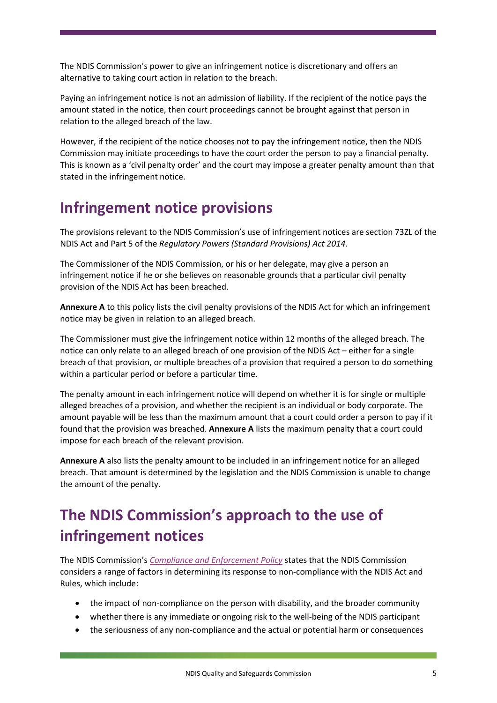The NDIS Commission's power to give an infringement notice is discretionary and offers an alternative to taking court action in relation to the breach.

Paying an infringement notice is not an admission of liability. If the recipient of the notice pays the amount stated in the notice, then court proceedings cannot be brought against that person in relation to the alleged breach of the law.

However, if the recipient of the notice chooses not to pay the infringement notice, then the NDIS Commission may initiate proceedings to have the court order the person to pay a financial penalty. This is known as a 'civil penalty order' and the court may impose a greater penalty amount than that stated in the infringement notice.

# <span id="page-4-0"></span>**Infringement notice provisions**

The provisions relevant to the NDIS Commission's use of infringement notices are section 73ZL of the NDIS Act and Part 5 of the *Regulatory Powers (Standard Provisions) Act 2014*.

The Commissioner of the NDIS Commission, or his or her delegate, may give a person an infringement notice if he or she believes on reasonable grounds that a particular civil penalty provision of the NDIS Act has been breached.

**Annexure A** to this policy lists the civil penalty provisions of the NDIS Act for which an infringement notice may be given in relation to an alleged breach.

The Commissioner must give the infringement notice within 12 months of the alleged breach. The notice can only relate to an alleged breach of one provision of the NDIS Act – either for a single breach of that provision, or multiple breaches of a provision that required a person to do something within a particular period or before a particular time.

The penalty amount in each infringement notice will depend on whether it is for single or multiple alleged breaches of a provision, and whether the recipient is an individual or body corporate. The amount payable will be less than the maximum amount that a court could order a person to pay if it found that the provision was breached. **Annexure A** lists the maximum penalty that a court could impose for each breach of the relevant provision.

**Annexure A** also lists the penalty amount to be included in an infringement notice for an alleged breach. That amount is determined by the legislation and the NDIS Commission is unable to change the amount of the penalty.

# <span id="page-4-1"></span>**The NDIS Commission's approach to the use of infringement notices**

The NDIS Commission's *[Compliance and Enforcement Policy](https://www.ndiscommission.gov.au/document/666)* states that the NDIS Commission considers a range of factors in determining its response to non-compliance with the NDIS Act and Rules, which include:

- the impact of non-compliance on the person with disability, and the broader community
- whether there is any immediate or ongoing risk to the well-being of the NDIS participant
- the seriousness of any non-compliance and the actual or potential harm or consequences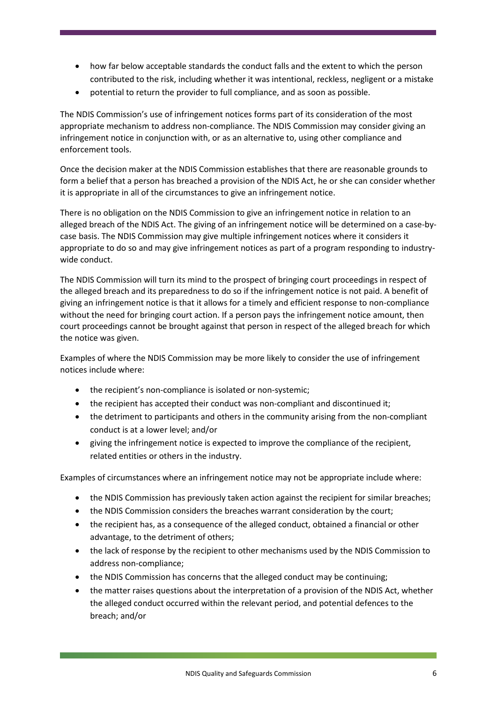- how far below acceptable standards the conduct falls and the extent to which the person contributed to the risk, including whether it was intentional, reckless, negligent or a mistake
- potential to return the provider to full compliance, and as soon as possible.

The NDIS Commission's use of infringement notices forms part of its consideration of the most appropriate mechanism to address non-compliance. The NDIS Commission may consider giving an infringement notice in conjunction with, or as an alternative to, using other compliance and enforcement tools.

Once the decision maker at the NDIS Commission establishes that there are reasonable grounds to form a belief that a person has breached a provision of the NDIS Act, he or she can consider whether it is appropriate in all of the circumstances to give an infringement notice.

There is no obligation on the NDIS Commission to give an infringement notice in relation to an alleged breach of the NDIS Act. The giving of an infringement notice will be determined on a case-bycase basis. The NDIS Commission may give multiple infringement notices where it considers it appropriate to do so and may give infringement notices as part of a program responding to industrywide conduct.

The NDIS Commission will turn its mind to the prospect of bringing court proceedings in respect of the alleged breach and its preparedness to do so if the infringement notice is not paid. A benefit of giving an infringement notice is that it allows for a timely and efficient response to non-compliance without the need for bringing court action. If a person pays the infringement notice amount, then court proceedings cannot be brought against that person in respect of the alleged breach for which the notice was given.

Examples of where the NDIS Commission may be more likely to consider the use of infringement notices include where:

- the recipient's non-compliance is isolated or non-systemic;
- the recipient has accepted their conduct was non-compliant and discontinued it;
- the detriment to participants and others in the community arising from the non-compliant conduct is at a lower level; and/or
- giving the infringement notice is expected to improve the compliance of the recipient, related entities or others in the industry.

Examples of circumstances where an infringement notice may not be appropriate include where:

- the NDIS Commission has previously taken action against the recipient for similar breaches;
- the NDIS Commission considers the breaches warrant consideration by the court;
- the recipient has, as a consequence of the alleged conduct, obtained a financial or other advantage, to the detriment of others;
- the lack of response by the recipient to other mechanisms used by the NDIS Commission to address non-compliance;
- the NDIS Commission has concerns that the alleged conduct may be continuing;
- the matter raises questions about the interpretation of a provision of the NDIS Act, whether the alleged conduct occurred within the relevant period, and potential defences to the breach; and/or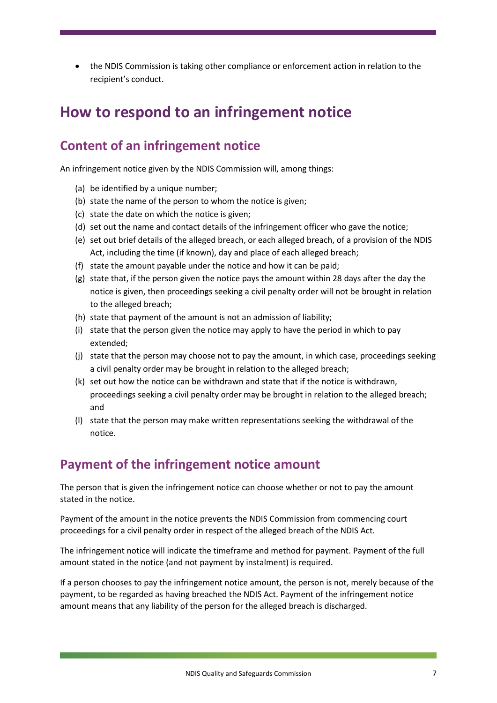• the NDIS Commission is taking other compliance or enforcement action in relation to the recipient's conduct.

### <span id="page-6-0"></span>**How to respond to an infringement notice**

#### <span id="page-6-1"></span>**Content of an infringement notice**

An infringement notice given by the NDIS Commission will, among things:

- (a) be identified by a unique number;
- (b) state the name of the person to whom the notice is given;
- (c) state the date on which the notice is given;
- (d) set out the name and contact details of the infringement officer who gave the notice;
- (e) set out brief details of the alleged breach, or each alleged breach, of a provision of the NDIS Act, including the time (if known), day and place of each alleged breach;
- (f) state the amount payable under the notice and how it can be paid;
- (g) state that, if the person given the notice pays the amount within 28 days after the day the notice is given, then proceedings seeking a civil penalty order will not be brought in relation to the alleged breach;
- (h) state that payment of the amount is not an admission of liability;
- (i) state that the person given the notice may apply to have the period in which to pay extended;
- (j) state that the person may choose not to pay the amount, in which case, proceedings seeking a civil penalty order may be brought in relation to the alleged breach;
- (k) set out how the notice can be withdrawn and state that if the notice is withdrawn, proceedings seeking a civil penalty order may be brought in relation to the alleged breach; and
- (l) state that the person may make written representations seeking the withdrawal of the notice.

#### <span id="page-6-2"></span>**Payment of the infringement notice amount**

The person that is given the infringement notice can choose whether or not to pay the amount stated in the notice.

Payment of the amount in the notice prevents the NDIS Commission from commencing court proceedings for a civil penalty order in respect of the alleged breach of the NDIS Act.

The infringement notice will indicate the timeframe and method for payment. Payment of the full amount stated in the notice (and not payment by instalment) is required.

If a person chooses to pay the infringement notice amount, the person is not, merely because of the payment, to be regarded as having breached the NDIS Act. Payment of the infringement notice amount means that any liability of the person for the alleged breach is discharged.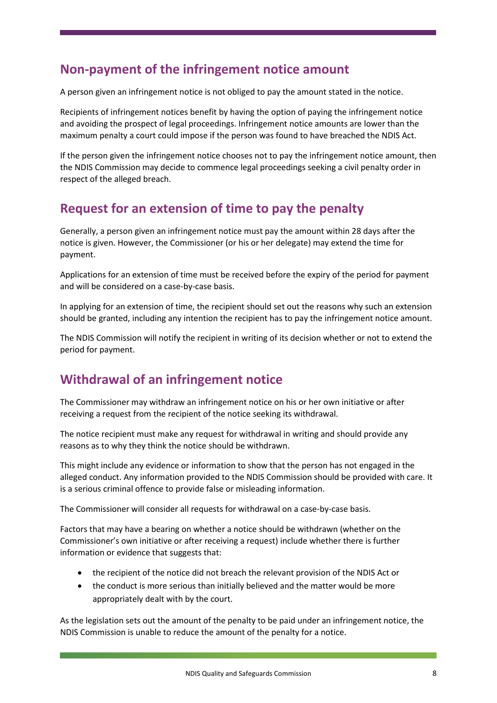### <span id="page-7-0"></span>**Non-payment of the infringement notice amount**

A person given an infringement notice is not obliged to pay the amount stated in the notice.

Recipients of infringement notices benefit by having the option of paying the infringement notice and avoiding the prospect of legal proceedings. Infringement notice amounts are lower than the maximum penalty a court could impose if the person was found to have breached the NDIS Act.

If the person given the infringement notice chooses not to pay the infringement notice amount, then the NDIS Commission may decide to commence legal proceedings seeking a civil penalty order in respect of the alleged breach.

### <span id="page-7-1"></span>**Request for an extension of time to pay the penalty**

Generally, a person given an infringement notice must pay the amount within 28 days after the notice is given. However, the Commissioner (or his or her delegate) may extend the time for payment.

Applications for an extension of time must be received before the expiry of the period for payment and will be considered on a case-by-case basis.

In applying for an extension of time, the recipient should set out the reasons why such an extension should be granted, including any intention the recipient has to pay the infringement notice amount.

The NDIS Commission will notify the recipient in writing of its decision whether or not to extend the period for payment.

### <span id="page-7-2"></span>**Withdrawal of an infringement notice**

The Commissioner may withdraw an infringement notice on his or her own initiative or after receiving a request from the recipient of the notice seeking its withdrawal.

The notice recipient must make any request for withdrawal in writing and should provide any reasons as to why they think the notice should be withdrawn.

This might include any evidence or information to show that the person has not engaged in the alleged conduct. Any information provided to the NDIS Commission should be provided with care. It is a serious criminal offence to provide false or misleading information.

The Commissioner will consider all requests for withdrawal on a case-by-case basis.

Factors that may have a bearing on whether a notice should be withdrawn (whether on the Commissioner's own initiative or after receiving a request) include whether there is further information or evidence that suggests that:

- the recipient of the notice did not breach the relevant provision of the NDIS Act or
- the conduct is more serious than initially believed and the matter would be more appropriately dealt with by the court.

As the legislation sets out the amount of the penalty to be paid under an infringement notice, the NDIS Commission is unable to reduce the amount of the penalty for a notice.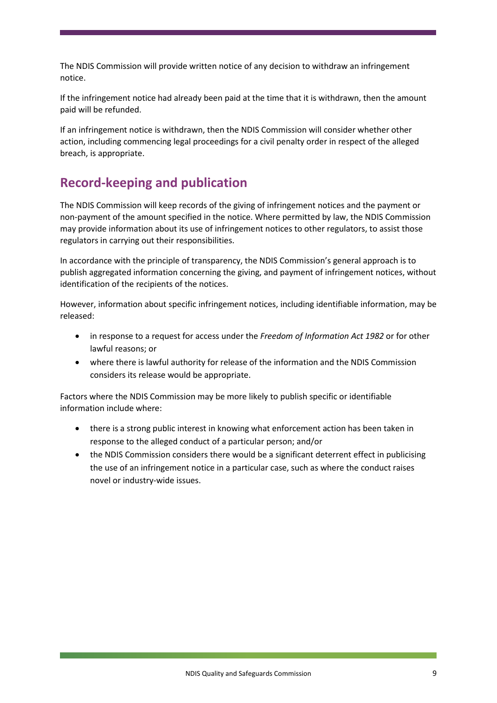The NDIS Commission will provide written notice of any decision to withdraw an infringement notice.

If the infringement notice had already been paid at the time that it is withdrawn, then the amount paid will be refunded.

If an infringement notice is withdrawn, then the NDIS Commission will consider whether other action, including commencing legal proceedings for a civil penalty order in respect of the alleged breach, is appropriate.

### <span id="page-8-0"></span>**Record-keeping and publication**

The NDIS Commission will keep records of the giving of infringement notices and the payment or non-payment of the amount specified in the notice. Where permitted by law, the NDIS Commission may provide information about its use of infringement notices to other regulators, to assist those regulators in carrying out their responsibilities.

In accordance with the principle of transparency, the NDIS Commission's general approach is to publish aggregated information concerning the giving, and payment of infringement notices, without identification of the recipients of the notices.

However, information about specific infringement notices, including identifiable information, may be released:

- in response to a request for access under the *Freedom of Information Act 1982* or for other lawful reasons; or
- where there is lawful authority for release of the information and the NDIS Commission considers its release would be appropriate.

Factors where the NDIS Commission may be more likely to publish specific or identifiable information include where:

- there is a strong public interest in knowing what enforcement action has been taken in response to the alleged conduct of a particular person; and/or
- the NDIS Commission considers there would be a significant deterrent effect in publicising the use of an infringement notice in a particular case, such as where the conduct raises novel or industry-wide issues.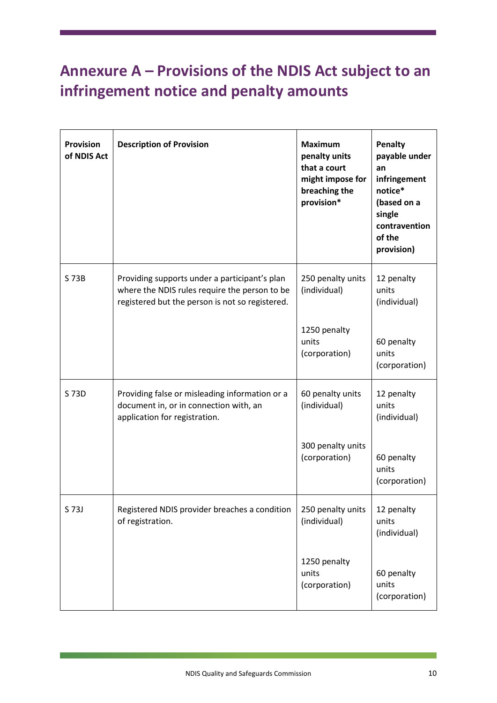# <span id="page-9-0"></span>**Annexure A – Provisions of the NDIS Act subject to an infringement notice and penalty amounts**

| <b>Provision</b><br>of NDIS Act | <b>Description of Provision</b>                                                                                                                   | <b>Maximum</b><br>penalty units<br>that a court<br>might impose for<br>breaching the<br>provision* | <b>Penalty</b><br>payable under<br>an<br>infringement<br>notice*<br>(based on a<br>single<br>contravention<br>of the<br>provision) |
|---------------------------------|---------------------------------------------------------------------------------------------------------------------------------------------------|----------------------------------------------------------------------------------------------------|------------------------------------------------------------------------------------------------------------------------------------|
| S 73B                           | Providing supports under a participant's plan<br>where the NDIS rules require the person to be<br>registered but the person is not so registered. | 250 penalty units<br>(individual)                                                                  | 12 penalty<br>units<br>(individual)                                                                                                |
|                                 |                                                                                                                                                   | 1250 penalty<br>units<br>(corporation)                                                             | 60 penalty<br>units<br>(corporation)                                                                                               |
| S 73D                           | Providing false or misleading information or a<br>document in, or in connection with, an<br>application for registration.                         | 60 penalty units<br>(individual)                                                                   | 12 penalty<br>units<br>(individual)                                                                                                |
|                                 |                                                                                                                                                   | 300 penalty units<br>(corporation)                                                                 | 60 penalty<br>units<br>(corporation)                                                                                               |
| S 73J                           | Registered NDIS provider breaches a condition<br>of registration.                                                                                 | 250 penalty units<br>(individual)                                                                  | 12 penalty<br>units<br>(individual)                                                                                                |
|                                 |                                                                                                                                                   | 1250 penalty<br>units<br>(corporation)                                                             | 60 penalty<br>units<br>(corporation)                                                                                               |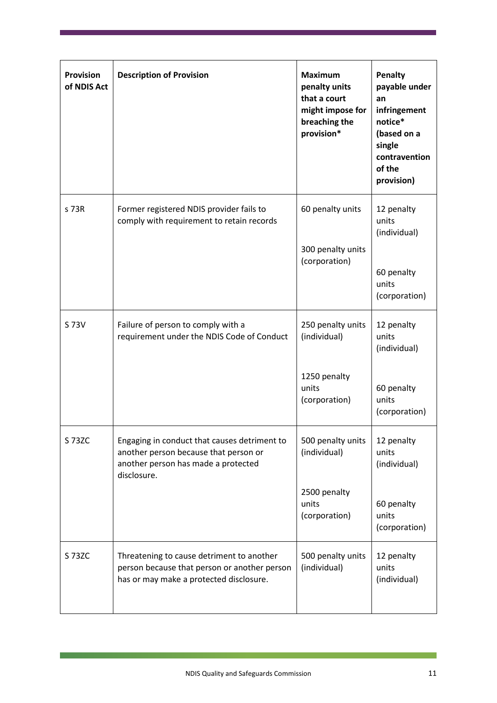| <b>Provision</b><br>of NDIS Act | <b>Description of Provision</b>                                                                                                             | <b>Maximum</b><br>penalty units<br>that a court<br>might impose for<br>breaching the<br>provision* | Penalty<br>payable under<br>an<br>infringement<br>notice*<br>(based on a<br>single<br>contravention<br>of the<br>provision) |
|---------------------------------|---------------------------------------------------------------------------------------------------------------------------------------------|----------------------------------------------------------------------------------------------------|-----------------------------------------------------------------------------------------------------------------------------|
| s 73R                           | Former registered NDIS provider fails to<br>comply with requirement to retain records                                                       | 60 penalty units<br>300 penalty units<br>(corporation)                                             | 12 penalty<br>units<br>(individual)<br>60 penalty<br>units<br>(corporation)                                                 |
| S 73V                           | Failure of person to comply with a<br>requirement under the NDIS Code of Conduct                                                            | 250 penalty units<br>(individual)<br>1250 penalty<br>units<br>(corporation)                        | 12 penalty<br>units<br>(individual)<br>60 penalty<br>units<br>(corporation)                                                 |
| S 73ZC                          | Engaging in conduct that causes detriment to<br>another person because that person or<br>another person has made a protected<br>disclosure. | 500 penalty units<br>(individual)<br>2500 penalty<br>units<br>(corporation)                        | 12 penalty<br>units<br>(individual)<br>60 penalty<br>units<br>(corporation)                                                 |
| S 73ZC                          | Threatening to cause detriment to another<br>person because that person or another person<br>has or may make a protected disclosure.        | 500 penalty units<br>(individual)                                                                  | 12 penalty<br>units<br>(individual)                                                                                         |

Г

 $\mathbb{R}^3$